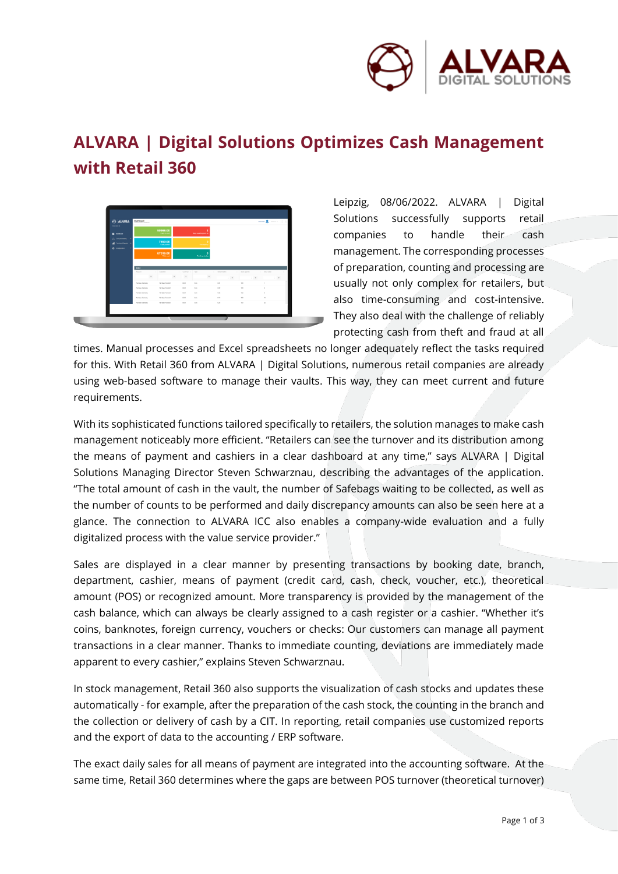

## **ALVARA | Digital Solutions Optimizes Cash Management with Retail 360**



Leipzig, 08/06/2022. ALVARA | Digital Solutions successfully supports retail companies to handle their cash management. The corresponding processes of preparation, counting and processing are usually not only complex for retailers, but also time-consuming and cost-intensive. They also deal with the challenge of reliably protecting cash from theft and fraud at all

times. Manual processes and Excel spreadsheets no longer adequately reflect the tasks required for this. With Retail 360 from ALVARA | Digital Solutions, numerous retail companies are already using web-based software to manage their vaults. This way, they can meet current and future requirements.

With its sophisticated functions tailored specifically to retailers, the solution manages to make cash management noticeably more efficient. "Retailers can see the turnover and its distribution among the means of payment and cashiers in a clear dashboard at any time," says ALVARA | Digital Solutions Managing Director Steven Schwarznau, describing the advantages of the application. "The total amount of cash in the vault, the number of Safebags waiting to be collected, as well as the number of counts to be performed and daily discrepancy amounts can also be seen here at a glance. The connection to ALVARA ICC also enables a company-wide evaluation and a fully digitalized process with the value service provider."

Sales are displayed in a clear manner by presenting transactions by booking date, branch, department, cashier, means of payment (credit card, cash, check, voucher, etc.), theoretical amount (POS) or recognized amount. More transparency is provided by the management of the cash balance, which can always be clearly assigned to a cash register or a cashier. "Whether it's coins, banknotes, foreign currency, vouchers or checks: Our customers can manage all payment transactions in a clear manner. Thanks to immediate counting, deviations are immediately made apparent to every cashier," explains Steven Schwarznau.

In stock management, Retail 360 also supports the visualization of cash stocks and updates these automatically - for example, after the preparation of the cash stock, the counting in the branch and the collection or delivery of cash by a CIT. In reporting, retail companies use customized reports and the export of data to the accounting / ERP software.

The exact daily sales for all means of payment are integrated into the accounting software. At the same time, Retail 360 determines where the gaps are between POS turnover (theoretical turnover)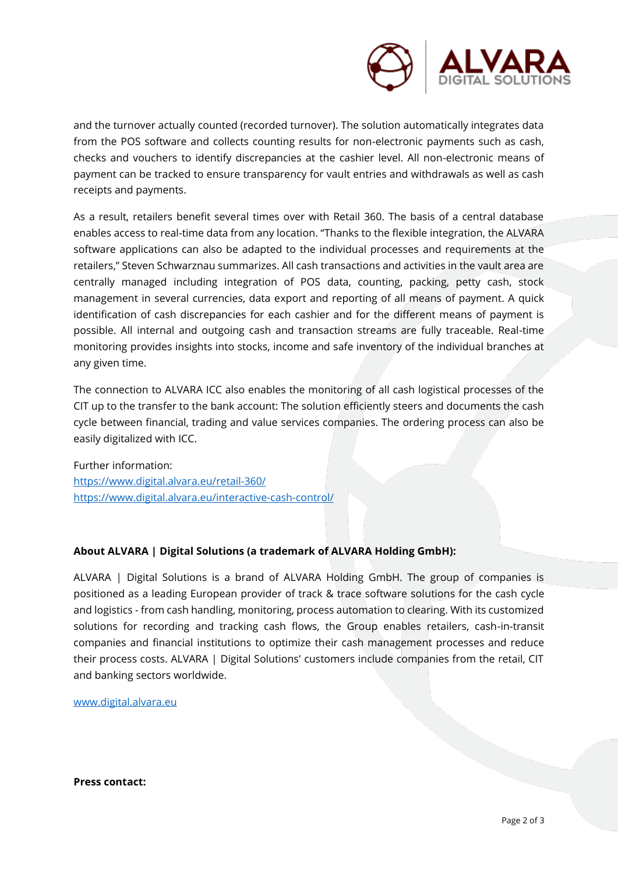

and the turnover actually counted (recorded turnover). The solution automatically integrates data from the POS software and collects counting results for non-electronic payments such as cash, checks and vouchers to identify discrepancies at the cashier level. All non-electronic means of payment can be tracked to ensure transparency for vault entries and withdrawals as well as cash receipts and payments.

As a result, retailers benefit several times over with Retail 360. The basis of a central database enables access to real-time data from any location. "Thanks to the flexible integration, the ALVARA software applications can also be adapted to the individual processes and requirements at the retailers," Steven Schwarznau summarizes. All cash transactions and activities in the vault area are centrally managed including integration of POS data, counting, packing, petty cash, stock management in several currencies, data export and reporting of all means of payment. A quick identification of cash discrepancies for each cashier and for the different means of payment is possible. All internal and outgoing cash and transaction streams are fully traceable. Real-time monitoring provides insights into stocks, income and safe inventory of the individual branches at any given time.

The connection to ALVARA ICC also enables the monitoring of all cash logistical processes of the CIT up to the transfer to the bank account: The solution efficiently steers and documents the cash cycle between financial, trading and value services companies. The ordering process can also be easily digitalized with ICC.

Further information: <https://www.digital.alvara.eu/retail-360/> <https://www.digital.alvara.eu/interactive-cash-control/>

## **About ALVARA | Digital Solutions (a trademark of ALVARA Holding GmbH):**

ALVARA | Digital Solutions is a brand of ALVARA Holding GmbH. The group of companies is positioned as a leading European provider of track & trace software solutions for the cash cycle and logistics - from cash handling, monitoring, process automation to clearing. With its customized solutions for recording and tracking cash flows, the Group enables retailers, cash-in-transit companies and financial institutions to optimize their cash management processes and reduce their process costs. ALVARA | Digital Solutions' customers include companies from the retail, CIT and banking sectors worldwide.

[www.digital.alvara.eu](http://www.digital.alvara.eu/)

**Press contact:**